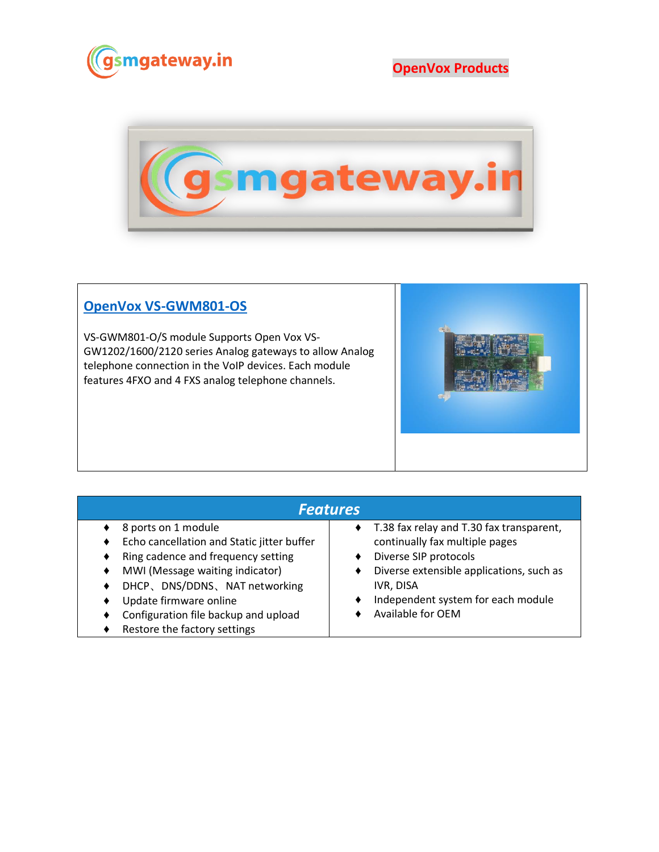

**OpenVox Products**



## **[OpenVox VS-GWM801-OS](https://www.gsmgateway.in/openvox/VS-GWM801-OS.html)**

VS-GWM801-O/S module Supports Open Vox VS-GW1202/1600/2120 series Analog gateways to allow Analog telephone connection in the VoIP devices. Each module features 4FXO and 4 FXS analog telephone channels.



| <b>Features</b>                                                                                                                                                                                                                                                                   |                                                                                                                                                                                                                         |  |  |  |
|-----------------------------------------------------------------------------------------------------------------------------------------------------------------------------------------------------------------------------------------------------------------------------------|-------------------------------------------------------------------------------------------------------------------------------------------------------------------------------------------------------------------------|--|--|--|
| 8 ports on 1 module<br>Echo cancellation and Static jitter buffer<br>Ring cadence and frequency setting<br>٠<br>MWI (Message waiting indicator)<br>DHCP、DNS/DDNS、NAT networking<br>Update firmware online<br>Configuration file backup and upload<br>Restore the factory settings | T.38 fax relay and T.30 fax transparent,<br>continually fax multiple pages<br>Diverse SIP protocols<br>Diverse extensible applications, such as<br>IVR, DISA<br>Independent system for each module<br>Available for OEM |  |  |  |